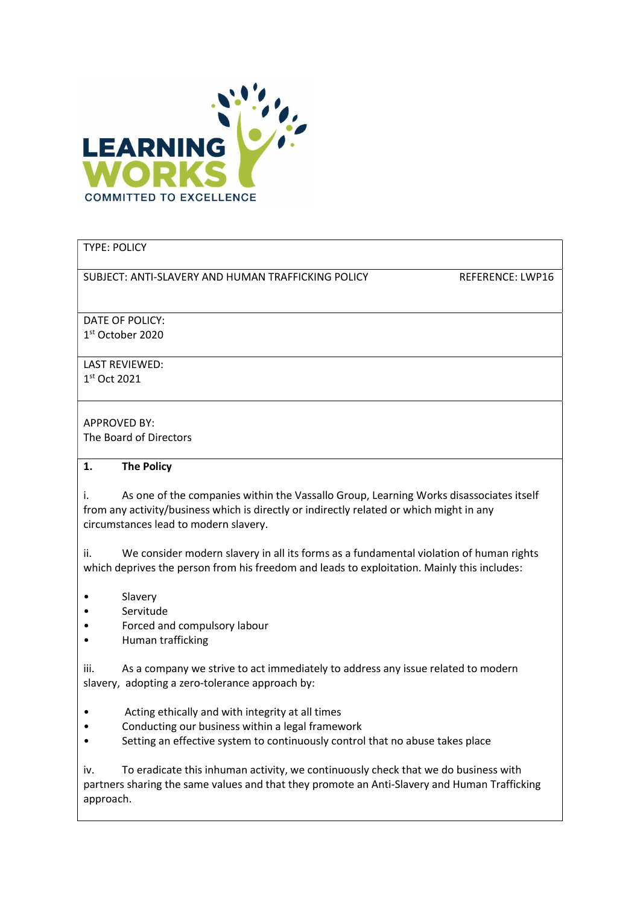

### TYPE: POLICY

SUBJECT: ANTI-SLAVERY AND HUMAN TRAFFICKING POLICY REFERENCE: LWP16

DATE OF POLICY: 1 st October 2020

LAST REVIEWED: 1 st Oct 2021

APPROVED BY: The Board of Directors

#### 1. The Policy

i. As one of the companies within the Vassallo Group, Learning Works disassociates itself from any activity/business which is directly or indirectly related or which might in any circumstances lead to modern slavery.

ii. We consider modern slavery in all its forms as a fundamental violation of human rights which deprives the person from his freedom and leads to exploitation. Mainly this includes:

- Slavery
- Servitude
- Forced and compulsory labour
- Human trafficking

iii. As a company we strive to act immediately to address any issue related to modern slavery, adopting a zero-tolerance approach by:

- Acting ethically and with integrity at all times
- Conducting our business within a legal framework
- Setting an effective system to continuously control that no abuse takes place

iv. To eradicate this inhuman activity, we continuously check that we do business with partners sharing the same values and that they promote an Anti-Slavery and Human Trafficking approach.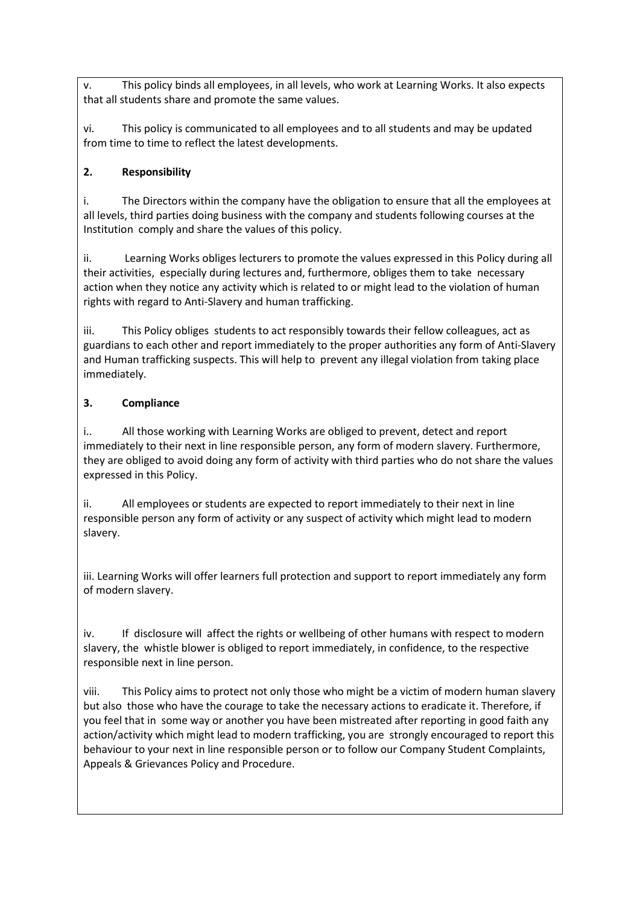v. This policy binds all employees, in all levels, who work at Learning Works. It also expects that all students share and promote the same values.

vi. This policy is communicated to all employees and to all students and may be updated from time to time to reflect the latest developments.

## 2. Responsibility

i. The Directors within the company have the obligation to ensure that all the employees at all levels, third parties doing business with the company and students following courses at the Institution comply and share the values of this policy.

ii. Learning Works obliges lecturers to promote the values expressed in this Policy during all their activities, especially during lectures and, furthermore, obliges them to take necessary action when they notice any activity which is related to or might lead to the violation of human rights with regard to Anti-Slavery and human trafficking.

iii. This Policy obliges students to act responsibly towards their fellow colleagues, act as guardians to each other and report immediately to the proper authorities any form of Anti-Slavery and Human trafficking suspects. This will help to prevent any illegal violation from taking place immediately.

# 3. Compliance

i.. All those working with Learning Works are obliged to prevent, detect and report immediately to their next in line responsible person, any form of modern slavery. Furthermore, they are obliged to avoid doing any form of activity with third parties who do not share the values expressed in this Policy.

ii. All employees or students are expected to report immediately to their next in line responsible person any form of activity or any suspect of activity which might lead to modern slavery.

iii. Learning Works will offer learners full protection and support to report immediately any form of modern slavery.

iv. If disclosure will affect the rights or wellbeing of other humans with respect to modern slavery, the whistle blower is obliged to report immediately, in confidence, to the respective responsible next in line person.

viii. This Policy aims to protect not only those who might be a victim of modern human slavery but also those who have the courage to take the necessary actions to eradicate it. Therefore, if you feel that in some way or another you have been mistreated after reporting in good faith any action/activity which might lead to modern trafficking, you are strongly encouraged to report this behaviour to your next in line responsible person or to follow our Company Student Complaints, Appeals & Grievances Policy and Procedure.